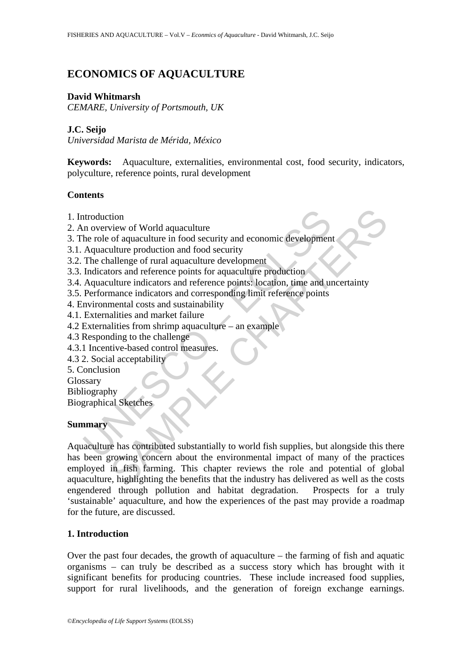# **ECONOMICS OF AQUACULTURE**

### **David Whitmarsh**

*CEMARE, University of Portsmouth, UK* 

### **J.C. Seijo**

*Universidad Marista de Mérida, México* 

**Keywords:** Aquaculture, externalities, environmental cost, food security, indicators, polyculture, reference points, rural development

### **Contents**

- 1. Introduction
- 2. An overview of World aquaculture
- 3. The role of aquaculture in food security and economic development
- 3.1. Aquaculture production and food security
- 3.2. The challenge of rural aquaculture development
- 3.3. Indicators and reference points for aquaculture production
- 3.4. Aquaculture indicators and reference points: location, time and uncertainty
- 3.5. Performance indicators and corresponding limit reference points
- 4. Environmental costs and sustainability
- 4.1. Externalities and market failure
- 4.2 Externalities from shrimp aquaculture an example
- 4.3 Responding to the challenge
- 4.3.1 Incentive-based control measures.
- 4.3 2. Social acceptability
- 5. Conclusion
- Glossary

Bibliography

Biographical Sketches

#### **Summary**

ntroduction<br>
in overview of World aquaculture<br>
the role of aquaculture in food security and economic development<br>
Aquaculture production and food security<br>
The challenge of rural aquaculture development<br>
Hoticators and ref The solution of World aquaculture<br>
wiew of World aquaculture<br>
of aquaculture in food security and economic development<br>
ulture production and food security<br>
ulture production and food security<br>
ulture indicators and creenc Aquaculture has contributed substantially to world fish supplies, but alongside this there has been growing concern about the environmental impact of many of the practices employed in fish farming. This chapter reviews the role and potential of global aquaculture, highlighting the benefits that the industry has delivered as well as the costs engendered through pollution and habitat degradation. Prospects for a truly 'sustainable' aquaculture, and how the experiences of the past may provide a roadmap for the future, are discussed.

## **1. Introduction**

Over the past four decades, the growth of aquaculture – the farming of fish and aquatic organisms – can truly be described as a success story which has brought with it significant benefits for producing countries. These include increased food supplies, support for rural livelihoods, and the generation of foreign exchange earnings.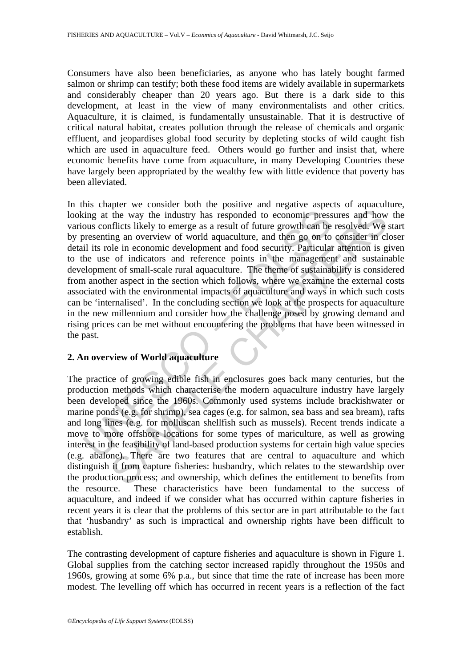Consumers have also been beneficiaries, as anyone who has lately bought farmed salmon or shrimp can testify; both these food items are widely available in supermarkets and considerably cheaper than 20 years ago. But there is a dark side to this development, at least in the view of many environmentalists and other critics. Aquaculture, it is claimed, is fundamentally unsustainable. That it is destructive of critical natural habitat, creates pollution through the release of chemicals and organic effluent, and jeopardises global food security by depleting stocks of wild caught fish which are used in aquaculture feed. Others would go further and insist that, where economic benefits have come from aquaculture, in many Developing Countries these have largely been appropriated by the wealthy few with little evidence that poverty has been alleviated.

ing at the way the industry has responded to economic press<br>cous conflicts likely to emerge as a result of future growth can be<br>presenting an overview of world aquaculture, and then go on to<br>il its role in economic develop the way the industry has responded to economic pressures and how<br>the way the industry has responded to economic pressures and how<br>injects likely to emerge as a result of future growth can be resolved. We<br>gig an overview of In this chapter we consider both the positive and negative aspects of aquaculture, looking at the way the industry has responded to economic pressures and how the various conflicts likely to emerge as a result of future growth can be resolved. We start by presenting an overview of world aquaculture, and then go on to consider in closer detail its role in economic development and food security. Particular attention is given to the use of indicators and reference points in the management and sustainable development of small-scale rural aquaculture. The theme of sustainability is considered from another aspect in the section which follows, where we examine the external costs associated with the environmental impacts of aquaculture and ways in which such costs can be 'internalised'. In the concluding section we look at the prospects for aquaculture in the new millennium and consider how the challenge posed by growing demand and rising prices can be met without encountering the problems that have been witnessed in the past.

## **2. An overview of World aquaculture**

The practice of growing edible fish in enclosures goes back many centuries, but the production methods which characterise the modern aquaculture industry have largely been developed since the 1960s. Commonly used systems include brackishwater or marine ponds (e.g. for shrimp), sea cages (e.g. for salmon, sea bass and sea bream), rafts and long lines (e.g. for molluscan shellfish such as mussels). Recent trends indicate a move to more offshore locations for some types of mariculture, as well as growing interest in the feasibility of land-based production systems for certain high value species (e.g. abalone). There are two features that are central to aquaculture and which distinguish it from capture fisheries: husbandry, which relates to the stewardship over the production process; and ownership, which defines the entitlement to benefits from the resource. These characteristics have been fundamental to the success of aquaculture, and indeed if we consider what has occurred within capture fisheries in recent years it is clear that the problems of this sector are in part attributable to the fact that 'husbandry' as such is impractical and ownership rights have been difficult to establish.

The contrasting development of capture fisheries and aquaculture is shown in Figure 1. Global supplies from the catching sector increased rapidly throughout the 1950s and 1960s, growing at some 6% p.a., but since that time the rate of increase has been more modest. The levelling off which has occurred in recent years is a reflection of the fact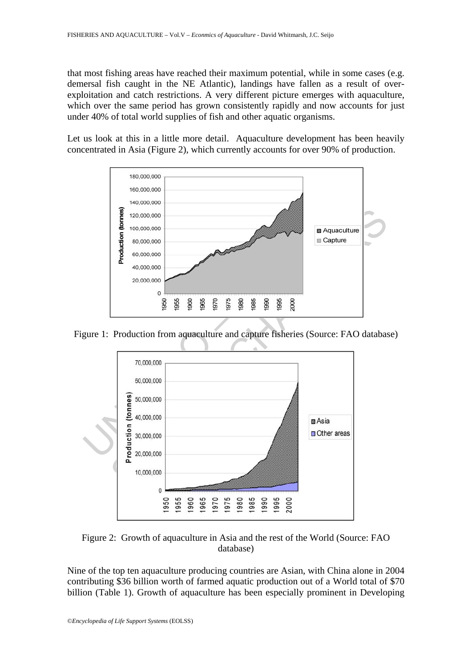that most fishing areas have reached their maximum potential, while in some cases (e.g. demersal fish caught in the NE Atlantic), landings have fallen as a result of overexploitation and catch restrictions. A very different picture emerges with aquaculture, which over the same period has grown consistently rapidly and now accounts for just under 40% of total world supplies of fish and other aquatic organisms.

Let us look at this in a little more detail. Aquaculture development has been heavily concentrated in Asia (Figure 2), which currently accounts for over 90% of production.



Figure 1: Production from aquaculture and capture fisheries (Source: FAO database)



Figure 2: Growth of aquaculture in Asia and the rest of the World (Source: FAO database)

Nine of the top ten aquaculture producing countries are Asian, with China alone in 2004 contributing \$36 billion worth of farmed aquatic production out of a World total of \$70 billion (Table 1). Growth of aquaculture has been especially prominent in Developing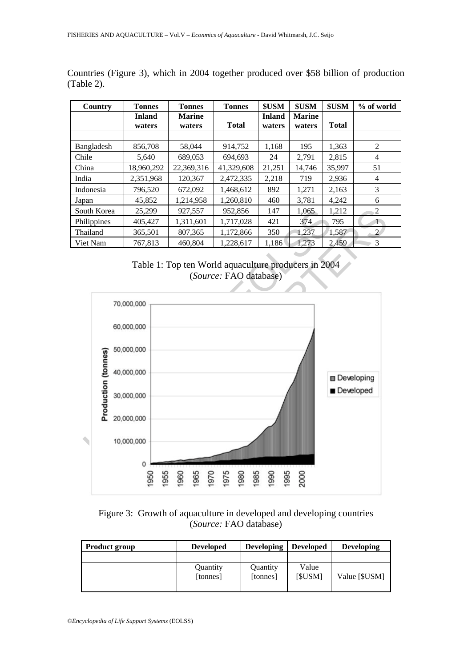| Country     | <b>Tonnes</b> | <b>Tonnes</b> | <b>Tonnes</b> | \$USM         | <b>\$USM</b>  | \$USM        | % of world      |
|-------------|---------------|---------------|---------------|---------------|---------------|--------------|-----------------|
|             | <b>Inland</b> | <b>Marine</b> |               | <b>Inland</b> | <b>Marine</b> |              |                 |
|             | waters        | waters        | <b>Total</b>  | waters        | waters        | <b>Total</b> |                 |
|             |               |               |               |               |               |              |                 |
| Bangladesh  | 856,708       | 58,044        | 914,752       | 1,168         | 195           | 1,363        | 2               |
| Chile       | 5,640         | 689,053       | 694.693       | 24            | 2,791         | 2,815        | $\overline{4}$  |
| China       | 18,960,292    | 22,369,316    | 41,329,608    | 21,251        | 14,746        | 35,997       | 51              |
| India       | 2,351,968     | 120.367       | 2,472,335     | 2,218         | 719           | 2,936        | 4               |
| Indonesia   | 796,520       | 672,092       | 1,468,612     | 892           | 1,271         | 2,163        | 3               |
| Japan       | 45,852        | 1,214,958     | 1,260,810     | 460           | 3,781         | 4,242        | 6               |
| South Korea | 25,299        | 927,557       | 952,856       | 147           | 1.065         | 1,212        | 2               |
| Philippines | 405,427       | 1,311,601     | 1,717,028     | 421           | 374           | 795          | $1\overline{ }$ |
| Thailand    | 365,501       | 807,365       | 1,172,866     | 350           | 1,237         | 1,587        | $\overline{2}$  |
| Viet Nam    | 767,813       | 460.804       | 1,228,617     | 1,186         | 1,273         | 2,459        | 3               |

Countries (Figure 3), which in 2004 together produced over \$58 billion of production (Table 2).





Figure 3: Growth of aquaculture in developed and developing countries (*Source:* FAO database)

| <b>Product group</b> | <b>Developed</b> | <b>Developing</b> | <b>Developed</b> | <b>Developing</b> |
|----------------------|------------------|-------------------|------------------|-------------------|
|                      |                  |                   |                  |                   |
|                      | Quantity         | Quantity          | Value            |                   |
|                      | [tonnes]         | [tonnes]          | [\$USM]          | Value [\$USM]     |
|                      |                  |                   |                  |                   |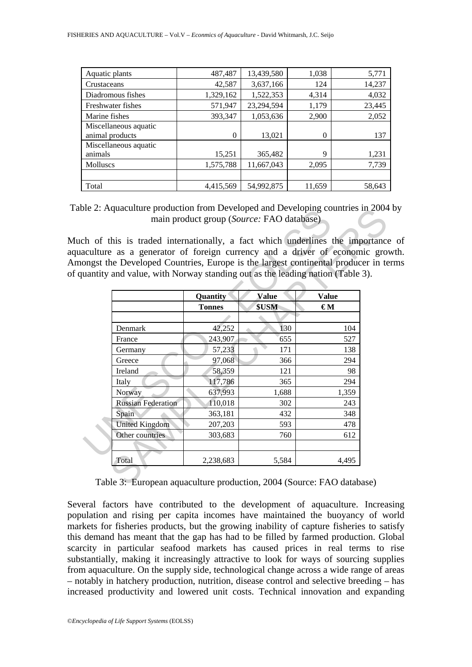| Aquatic plants                           | 487,487   | 13,439,580 | 1,038    | 5,771  |
|------------------------------------------|-----------|------------|----------|--------|
| Crustaceans                              | 42,587    | 3,637,166  | 124      | 14,237 |
| Diadromous fishes                        | 1,329,162 | 1,522,353  | 4,314    | 4,032  |
| Freshwater fishes                        | 571,947   | 23,294,594 | 1,179    | 23,445 |
| Marine fishes                            | 393,347   | 1,053,636  | 2,900    | 2,052  |
| Miscellaneous aquatic<br>animal products | 0         | 13,021     | $\Omega$ | 137    |
| Miscellaneous aquatic<br>animals         | 15,251    | 365,482    | 9        | 1,231  |
| <b>Molluscs</b>                          | 1,575,788 | 11,667,043 | 2,095    | 7,739  |
|                                          |           |            |          |        |
| Total                                    | 4,415,569 | 54,992,875 | 11,659   | 58,643 |

Table 2: Aquaculture production from Developed and Developing countries in 2004 by main product group (*Source:* FAO database)

Much of this is traded internationally, a fact which underlines the importance of aquaculture as a generator of foreign currency and a driver of economic growth. Amongst the Developed Countries, Europe is the largest continental producer in terms of quantity and value, with Norway standing out as the leading nation (Table 3).

| aculture as a generator of foreign currency and a driver of economic gro<br>ongst the Developed Countries, Europe is the largest continental producer in te |               | ch of this is traded internationally, a fact which underlines the importance |              |
|-------------------------------------------------------------------------------------------------------------------------------------------------------------|---------------|------------------------------------------------------------------------------|--------------|
| uantity and value, with Norway standing out as the leading nation (Table 3).                                                                                |               |                                                                              |              |
|                                                                                                                                                             | Quantity      | <b>Value</b>                                                                 | <b>Value</b> |
|                                                                                                                                                             | <b>Tonnes</b> | \$USM                                                                        | €М           |
|                                                                                                                                                             |               |                                                                              |              |
| Denmark                                                                                                                                                     | 42,252        | 130                                                                          | 104          |
| France                                                                                                                                                      | 243,907       | 655                                                                          | 527          |
| Germany                                                                                                                                                     | 57,233        | 171                                                                          | 138          |
| Greece                                                                                                                                                      | 97,068        | 366                                                                          | 294          |
| Ireland                                                                                                                                                     | 58,359        | 121                                                                          | 98           |
| Italy                                                                                                                                                       | 117,786       | 365                                                                          | 294          |
| Norway                                                                                                                                                      | 637,993       | 1,688                                                                        | 1,359        |
| <b>Russian Federation</b>                                                                                                                                   | 110,018       | 302                                                                          | 243          |
| Spain                                                                                                                                                       | 363,181       | 432                                                                          | 348          |
| <b>United Kingdom</b>                                                                                                                                       | 207,203       | 593                                                                          | 478          |
| Other countries                                                                                                                                             | 303,683       | 760                                                                          | 612          |
| Total                                                                                                                                                       | 2,238,683     | 5,584                                                                        | 4,495        |

Table 3: European aquaculture production, 2004 (Source: FAO database)

Several factors have contributed to the development of aquaculture. Increasing population and rising per capita incomes have maintained the buoyancy of world markets for fisheries products, but the growing inability of capture fisheries to satisfy this demand has meant that the gap has had to be filled by farmed production. Global scarcity in particular seafood markets has caused prices in real terms to rise substantially, making it increasingly attractive to look for ways of sourcing supplies from aquaculture. On the supply side, technological change across a wide range of areas – notably in hatchery production, nutrition, disease control and selective breeding – has increased productivity and lowered unit costs. Technical innovation and expanding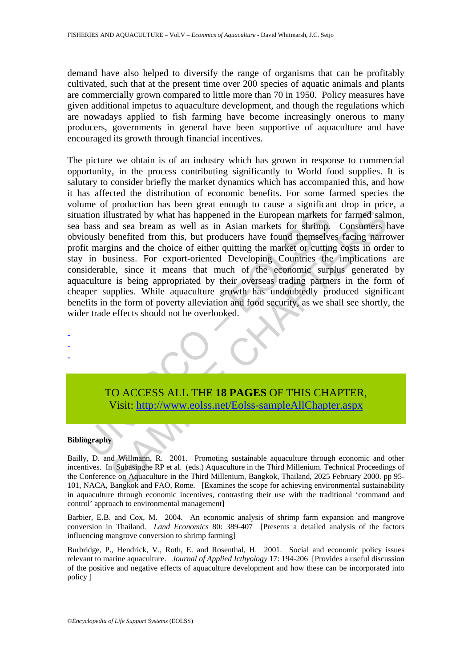demand have also helped to diversify the range of organisms that can be profitably cultivated, such that at the present time over 200 species of aquatic animals and plants are commercially grown compared to little more than 70 in 1950. Policy measures have given additional impetus to aquaculture development, and though the regulations which are nowadays applied to fish farming have become increasingly onerous to many producers, governments in general have been supportive of aquaculture and have encouraged its growth through financial incentives.

ation illustrated by what has happened in the European markets thas and sea bream as well as in Asian markets for shrimp,<br>iously benefited from this, but producers have found themselve<br>it margins and the choice of either q Instrated by what has happened in the European markets for farmed salm<br>
also the benefited from this, but producers have found themselves facing market<br>
then the consense of the consense for string. Consumers I benefited f The picture we obtain is of an industry which has grown in response to commercial opportunity, in the process contributing significantly to World food supplies. It is salutary to consider briefly the market dynamics which has accompanied this, and how it has affected the distribution of economic benefits. For some farmed species the volume of production has been great enough to cause a significant drop in price, a situation illustrated by what has happened in the European markets for farmed salmon, sea bass and sea bream as well as in Asian markets for shrimp. Consumers have obviously benefited from this, but producers have found themselves facing narrower profit margins and the choice of either quitting the market or cutting costs in order to stay in business. For export-oriented Developing Countries the implications are considerable, since it means that much of the economic surplus generated by aquaculture is being appropriated by their overseas trading partners in the form of cheaper supplies. While aquaculture growth has undoubtedly produced significant benefits in the form of poverty alleviation and food security, as we shall see shortly, the wider trade effects should not be overlooked.

TO ACCESS ALL THE **18 PAGES** OF THIS CHAPTER, Visit: http://www.eolss.net/Eolss-sampleAllChapter.aspx

#### **Bibliography**

- - -

Bailly, D. and Willmann, R. 2001. Promoting sustainable aquaculture through economic and other incentives. In Subasinghe RP et al. (eds.) Aquaculture in the Third Millenium. Technical Proceedings of the Conference on Aquaculture in the Third Millenium, Bangkok, Thailand, 2025 February 2000. pp 95- 101, NACA, Bangkok and FAO, Rome. [Examines the scope for achieving environmental sustainability in aquaculture through economic incentives, contrasting their use with the traditional 'command and control' approach to environmental management]

Barbier, E.B. and Cox, M. 2004. An economic analysis of shrimp farm expansion and mangrove conversion in Thailand. *Land Economics* 80: 389-407 [Presents a detailed analysis of the factors influencing mangrove conversion to shrimp farming]

Burbridge, P., Hendrick, V., Roth, E. and Rosenthal, H. 2001. Social and economic policy issues relevant to marine aquaculture. *Journal of Applied Icthyology* 17: 194-206 [Provides a useful discussion of the positive and negative effects of aquaculture development and how these can be incorporated into policy ]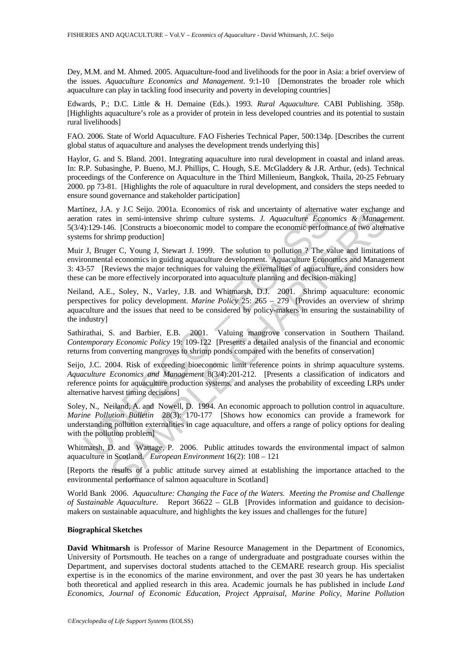Dey, M.M. and M. Ahmed. 2005. Aquaculture-food and livelihoods for the poor in Asia: a brief overview of the issues. *Aquaculture Economics and Management*. 9:1-10 [Demonstrates the broader role which aquaculture can play in tackling food insecurity and poverty in developing countries]

Edwards, P.; D.C. Little & H. Demaine (Eds.). 1993. *Rural Aquaculture.* CABI Publishing. 358p. [Highlights aquaculture's role as a provider of protein in less developed countries and its potential to sustain rural livelihoods]

FAO. 2006. State of World Aquaculture. FAO Fisheries Technical Paper, 500:134p. [Describes the current global status of aquaculture and analyses the development trends underlying this]

Haylor, G. and S. Bland. 2001. Integrating aquaculture into rural development in coastal and inland areas. In: R.P. Subasinghe, P. Bueno, M.J. Phillips, C. Hough, S.E. McGladdery & J.R. Arthur, (eds). Technical proceedings of the Conference on Aquaculture in the Third Millenieum, Bangkok, Thaila, 20-25 February 2000. pp 73-81. [Highlights the role of aquaculture in rural development, and considers the steps needed to ensure sound governance and stakeholder participation]

Martínez, J.A. y J.C Seijo. 2001a. Economics of risk and uncertainty of alternative water exchange and aeration rates in semi-intensive shrimp culture systems. *J. Aquaculture Economics & Management.* 5(3/4):129-146. [Constructs a bioeconomic model to compare the economic performance of two alternative systems for shrimp production]

inex, J.A. y J.C. Seijo. 2001a. Economics of risk and uncertainty of alternative<br>ion rates in semi-intensive shrimp culture systems. *J. Aquaculture Econo*<br>fields):129-146. [Constructs a bioeconomic model to compare the ec I. y J.C. Seijo. 2001a. Economics of risk and uncertainty of alternative water exchange<br>is in semi-intensive shrimp culture systems. J. Aquaculture Economics & Manageto.<br>[Constructs a bioeconomic model to compare the econ Muir J, Bruger C, Young J, Stewart J. 1999. The solution to pollution ? The value and limitations of environmental economics in guiding aquaculture development. Aquaculture Economics and Management 3: 43-57 [Reviews the major techniques for valuing the externalities of aquaculture, and considers how these can be more effectively incorporated into aquaculture planning and decision-making]

Neiland, A.E., Soley, N., Varley, J.B. and Whitmarsh, D.J. 2001. Shrimp aquaculture: economic perspectives for policy development. *Marine Policy* 25: 265 – 279 [Provides an overview of shrimp aquaculture and the issues that need to be considered by policy-makers in ensuring the sustainability of the industry]

Sathirathai, S. and Barbier, E.B. 2001. Valuing mangrove conservation in Southern Thailand. *Contemporary Economic Policy* 19: 109-122 [Presents a detailed analysis of the financial and economic returns from converting mangroves to shrimp ponds compared with the benefits of conservation]

Seijo, J.C. 2004. Risk of exceeding bioeconomic limit reference points in shrimp aquaculture systems. *Aquaculture Economics and Management* 8(3/4):201-212. [Presents a classification of indicators and reference points for aquaculture production systems, and analyses the probability of exceeding LRPs under alternative harvest timing decisions]

Soley, N., Neiland, A. and Nowell, D. 1994. An economic approach to pollution control in aquaculture. *Marine Pollution Bulletin* 28(3): 170-177 [Shows how economics can provide a framework for understanding pollution externalities in cage aquaculture, and offers a range of policy options for dealing with the pollution problem

Whitmarsh, D. and Wattage, P. 2006. Public attitudes towards the environmental impact of salmon aquaculture in Scotland. *European Environment* 16(2): 108 – 121

[Reports the results of a public attitude survey aimed at establishing the importance attached to the environmental performance of salmon aquaculture in Scotland]

World Bank 2006. *Aquaculture: Changing the Face of the Waters. Meeting the Promise and Challenge of Sustainable Aquaculture*. Report 36622 – GLB [Provides information and guidance to decisionmakers on sustainable aquaculture, and highlights the key issues and challenges for the future]

#### **Biographical Sketches**

**David Whitmarsh** is Professor of Marine Resource Management in the Department of Economics, University of Portsmouth. He teaches on a range of undergraduate and postgraduate courses within the Department, and supervises doctoral students attached to the CEMARE research group. His specialist expertise is in the economics of the marine environment, and over the past 30 years he has undertaken both theoretical and applied research in this area. Academic journals he has published in include *Land Economics*, *Journal of Economic Education*, *Project Appraisal*, *Marine Policy*, *Marine Pollution*